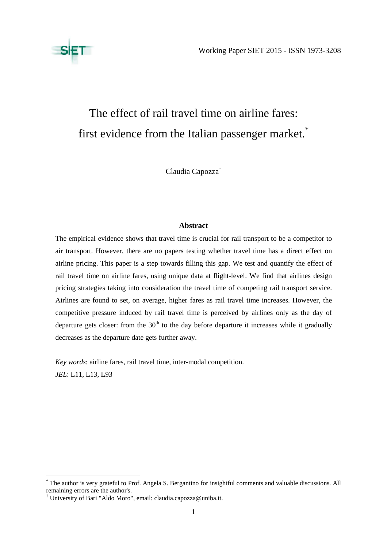

# The effect of rail travel time on airline fares: first evidence from the Italian passenger market.<sup>\*</sup>

Claudia Capozza†

# **Abstract**

The empirical evidence shows that travel time is crucial for rail transport to be a competitor to air transport. However, there are no papers testing whether travel time has a direct effect on airline pricing. This paper is a step towards filling this gap. We test and quantify the effect of rail travel time on airline fares, using unique data at flight-level. We find that airlines design pricing strategies taking into consideration the travel time of competing rail transport service. Airlines are found to set, on average, higher fares as rail travel time increases. However, the competitive pressure induced by rail travel time is perceived by airlines only as the day of departure gets closer: from the  $30<sup>th</sup>$  to the day before departure it increases while it gradually decreases as the departure date gets further away.

*Key words*: airline fares, rail travel time, inter-modal competition. *JEL*: L11, L13, L93

<sup>\*</sup> The author is very grateful to Prof. Angela S. Bergantino for insightful comments and valuable discussions. All remaining errors are the author's.

<sup>†</sup> University of Bari "Aldo Moro", email: claudia.capozza@uniba.it.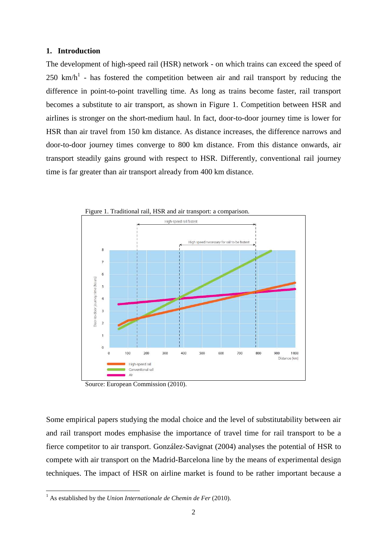#### **1. Introduction**

The development of high-speed rail (HSR) network - on which trains can exceed the speed of  $250 \text{ km/h}^1$  - has fostered the competition between air and rail transport by reducing the difference in point-to-point travelling time. As long as trains become faster, rail transport becomes a substitute to air transport, as shown in Figure 1. Competition between HSR and airlines is stronger on the short-medium haul. In fact, door-to-door journey time is lower for HSR than air travel from 150 km distance. As distance increases, the difference narrows and door-to-door journey times converge to 800 km distance. From this distance onwards, air transport steadily gains ground with respect to HSR. Differently, conventional rail journey time is far greater than air transport already from 400 km distance.



Source: European Commission (2010).

Some empirical papers studying the modal choice and the level of substitutability between air and rail transport modes emphasise the importance of travel time for rail transport to be a fierce competitor to air transport. González-Savignat (2004) analyses the potential of HSR to compete with air transport on the Madrid-Barcelona line by the means of experimental design techniques. The impact of HSR on airline market is found to be rather important because a

 $<sup>1</sup>$  As established by the *Union Internationale de Chemin de Fer* (2010).</sup>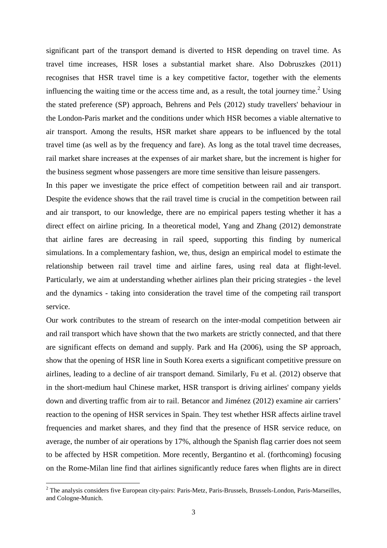significant part of the transport demand is diverted to HSR depending on travel time. As travel time increases, HSR loses a substantial market share. Also Dobruszkes (2011) recognises that HSR travel time is a key competitive factor, together with the elements influencing the waiting time or the access time and, as a result, the total journey time.<sup>2</sup> Using the stated preference (SP) approach, Behrens and Pels (2012) study travellers' behaviour in the London-Paris market and the conditions under which HSR becomes a viable alternative to air transport. Among the results, HSR market share appears to be influenced by the total travel time (as well as by the frequency and fare). As long as the total travel time decreases, rail market share increases at the expenses of air market share, but the increment is higher for the business segment whose passengers are more time sensitive than leisure passengers.

In this paper we investigate the price effect of competition between rail and air transport. Despite the evidence shows that the rail travel time is crucial in the competition between rail and air transport, to our knowledge, there are no empirical papers testing whether it has a direct effect on airline pricing. In a theoretical model, Yang and Zhang (2012) demonstrate that airline fares are decreasing in rail speed, supporting this finding by numerical simulations. In a complementary fashion, we, thus, design an empirical model to estimate the relationship between rail travel time and airline fares, using real data at flight-level. Particularly, we aim at understanding whether airlines plan their pricing strategies - the level and the dynamics - taking into consideration the travel time of the competing rail transport service.

Our work contributes to the stream of research on the inter-modal competition between air and rail transport which have shown that the two markets are strictly connected, and that there are significant effects on demand and supply. Park and Ha (2006), using the SP approach, show that the opening of HSR line in South Korea exerts a significant competitive pressure on airlines, leading to a decline of air transport demand. Similarly, Fu et al. (2012) observe that in the short-medium haul Chinese market, HSR transport is driving airlines' company yields down and diverting traffic from air to rail. Betancor and Jiménez (2012) examine air carriers' reaction to the opening of HSR services in Spain. They test whether HSR affects airline travel frequencies and market shares, and they find that the presence of HSR service reduce, on average, the number of air operations by 17%, although the Spanish flag carrier does not seem to be affected by HSR competition. More recently, Bergantino et al. (forthcoming) focusing on the Rome-Milan line find that airlines significantly reduce fares when flights are in direct

<sup>&</sup>lt;sup>2</sup> The analysis considers five European city-pairs: Paris-Metz, Paris-Brussels, Brussels-London, Paris-Marseilles, and Cologne-Munich.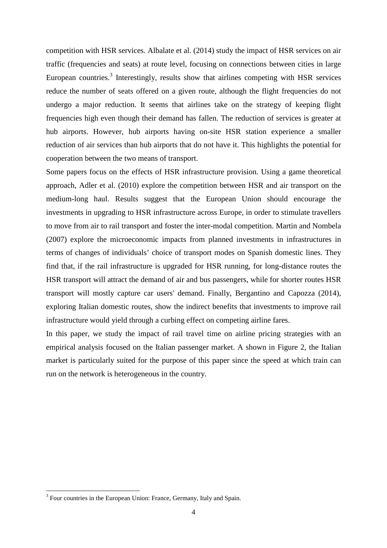competition with HSR services. Albalate et al. (2014) study the impact of HSR services on air traffic (frequencies and seats) at route level, focusing on connections between cities in large European countries.<sup>3</sup> Interestingly, results show that airlines competing with HSR services reduce the number of seats offered on a given route, although the flight frequencies do not undergo a major reduction. It seems that airlines take on the strategy of keeping flight frequencies high even though their demand has fallen. The reduction of services is greater at hub airports. However, hub airports having on-site HSR station experience a smaller reduction of air services than hub airports that do not have it. This highlights the potential for cooperation between the two means of transport.

Some papers focus on the effects of HSR infrastructure provision. Using a game theoretical approach, Adler et al. (2010) explore the competition between HSR and air transport on the medium-long haul. Results suggest that the European Union should encourage the investments in upgrading to HSR infrastructure across Europe, in order to stimulate travellers to move from air to rail transport and foster the inter-modal competition. Martin and Nombela (2007) explore the microeconomic impacts from planned investments in infrastructures in terms of changes of individuals' choice of transport modes on Spanish domestic lines. They find that, if the rail infrastructure is upgraded for HSR running, for long-distance routes the HSR transport will attract the demand of air and bus passengers, while for shorter routes HSR transport will mostly capture car users' demand. Finally, Bergantino and Capozza (2014), exploring Italian domestic routes, show the indirect benefits that investments to improve rail infrastructure would yield through a curbing effect on competing airline fares.

In this paper, we study the impact of rail travel time on airline pricing strategies with an empirical analysis focused on the Italian passenger market. A shown in Figure 2, the Italian market is particularly suited for the purpose of this paper since the speed at which train can run on the network is heterogeneous in the country.

 $3$  Four countries in the European Union: France, Germany, Italy and Spain.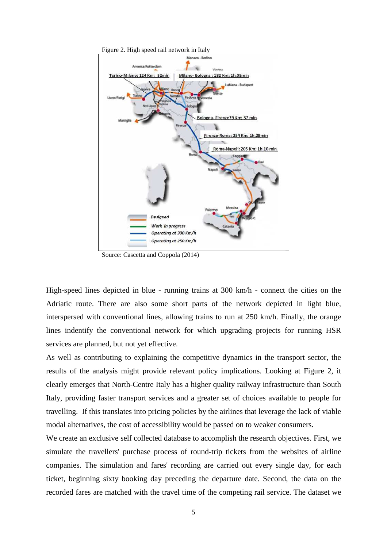

Source: Cascetta and Coppola (2014)

High-speed lines depicted in blue - running trains at 300 km/h - connect the cities on the Adriatic route. There are also some short parts of the network depicted in light blue, interspersed with conventional lines, allowing trains to run at 250 km/h. Finally, the orange lines indentify the conventional network for which upgrading projects for running HSR services are planned, but not yet effective.

As well as contributing to explaining the competitive dynamics in the transport sector, the results of the analysis might provide relevant policy implications. Looking at Figure 2, it clearly emerges that North-Centre Italy has a higher quality railway infrastructure than South Italy, providing faster transport services and a greater set of choices available to people for travelling. If this translates into pricing policies by the airlines that leverage the lack of viable modal alternatives, the cost of accessibility would be passed on to weaker consumers.

We create an exclusive self collected database to accomplish the research objectives. First, we simulate the travellers' purchase process of round-trip tickets from the websites of airline companies. The simulation and fares' recording are carried out every single day, for each ticket, beginning sixty booking day preceding the departure date. Second, the data on the recorded fares are matched with the travel time of the competing rail service. The dataset we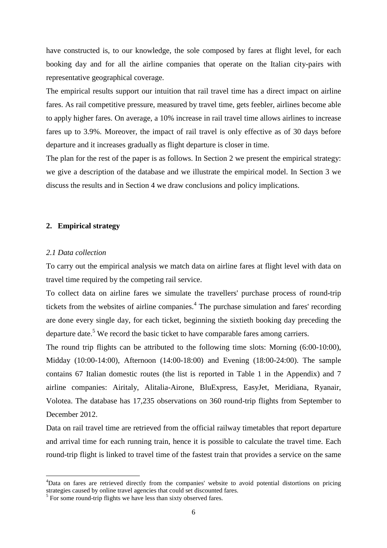have constructed is, to our knowledge, the sole composed by fares at flight level, for each booking day and for all the airline companies that operate on the Italian city-pairs with representative geographical coverage.

The empirical results support our intuition that rail travel time has a direct impact on airline fares. As rail competitive pressure, measured by travel time, gets feebler, airlines become able to apply higher fares. On average, a 10% increase in rail travel time allows airlines to increase fares up to 3.9%. Moreover, the impact of rail travel is only effective as of 30 days before departure and it increases gradually as flight departure is closer in time.

The plan for the rest of the paper is as follows. In Section 2 we present the empirical strategy: we give a description of the database and we illustrate the empirical model. In Section 3 we discuss the results and in Section 4 we draw conclusions and policy implications.

#### **2. Empirical strategy**

# *2.1 Data collection*

 $\overline{a}$ 

To carry out the empirical analysis we match data on airline fares at flight level with data on travel time required by the competing rail service.

To collect data on airline fares we simulate the travellers' purchase process of round-trip tickets from the websites of airline companies.<sup>4</sup> The purchase simulation and fares' recording are done every single day, for each ticket, beginning the sixtieth booking day preceding the departure date.<sup>5</sup> We record the basic ticket to have comparable fares among carriers.

The round trip flights can be attributed to the following time slots: Morning (6:00-10:00), Midday (10:00-14:00), Afternoon (14:00-18:00) and Evening (18:00-24:00). The sample contains 67 Italian domestic routes (the list is reported in Table 1 in the Appendix) and 7 airline companies: Airitaly, Alitalia-Airone, BluExpress, EasyJet, Meridiana, Ryanair, Volotea. The database has 17,235 observations on 360 round-trip flights from September to December 2012.

Data on rail travel time are retrieved from the official railway timetables that report departure and arrival time for each running train, hence it is possible to calculate the travel time. Each round-trip flight is linked to travel time of the fastest train that provides a service on the same

<sup>&</sup>lt;sup>4</sup>Data on fares are retrieved directly from the companies' website to avoid potential distortions on pricing strategies caused by online travel agencies that could set discounted fares.

 $<sup>5</sup>$  For some round-trip flights we have less than sixty observed fares.</sup>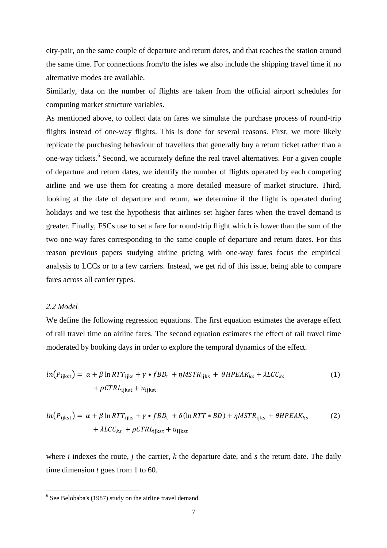city-pair, on the same couple of departure and return dates, and that reaches the station around the same time. For connections from/to the isles we also include the shipping travel time if no alternative modes are available.

Similarly, data on the number of flights are taken from the official airport schedules for computing market structure variables.

As mentioned above, to collect data on fares we simulate the purchase process of round-trip flights instead of one-way flights. This is done for several reasons. First, we more likely replicate the purchasing behaviour of travellers that generally buy a return ticket rather than a one-way tickets.<sup>6</sup> Second, we accurately define the real travel alternatives. For a given couple of departure and return dates, we identify the number of flights operated by each competing airline and we use them for creating a more detailed measure of market structure. Third, looking at the date of departure and return, we determine if the flight is operated during holidays and we test the hypothesis that airlines set higher fares when the travel demand is greater. Finally, FSCs use to set a fare for round-trip flight which is lower than the sum of the two one-way fares corresponding to the same couple of departure and return dates. For this reason previous papers studying airline pricing with one-way fares focus the empirical analysis to LCCs or to a few carriers. Instead, we get rid of this issue, being able to compare fares across all carrier types.

#### *2.2 Model*

We define the following regression equations. The first equation estimates the average effect of rail travel time on airline fares. The second equation estimates the effect of rail travel time moderated by booking days in order to explore the temporal dynamics of the effect.

$$
ln(P_{\text{ijkst}}) = \alpha + \beta \ln RTT_{\text{ijkst}} + \gamma \cdot fBD_{\text{t}} + \eta MSTR_{\text{ijks}} + \theta HPEAK_{\text{ks}} + \lambda LCC_{\text{ks}}
$$
  
+  $\rho CTRL_{\text{ijkst}} + u_{\text{ijkst}}$  (1)

$$
ln(P_{\text{ijkst}}) = \alpha + \beta \ln RTT_{\text{ijks}} + \gamma \cdot fBD_{\text{t}} + \delta(\ln RTT * BD) + \eta MSTR_{\text{ijks}} + \theta HPEAK_{\text{ks}} \tag{2}
$$

$$
+ \lambda LCC_{\text{ks}} + \rho CTRL_{\text{ijkst}} + u_{\text{ijkst}}
$$

where *i* indexes the route, *j* the carrier, *k* the departure date, and *s* the return date. The daily time dimension *t* goes from 1 to 60.

<sup>&</sup>lt;sup>6</sup> See Belobaba's (1987) study on the airline travel demand.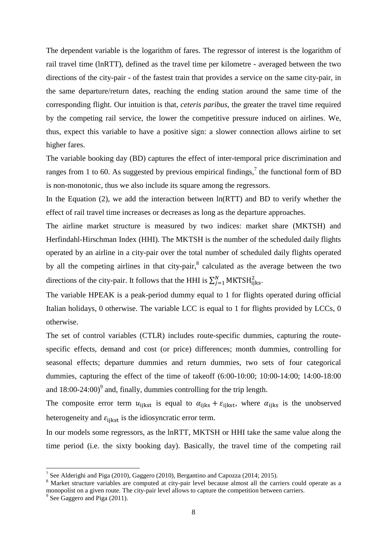The dependent variable is the logarithm of fares. The regressor of interest is the logarithm of rail travel time (lnRTT), defined as the travel time per kilometre - averaged between the two directions of the city-pair - of the fastest train that provides a service on the same city-pair, in the same departure/return dates, reaching the ending station around the same time of the corresponding flight. Our intuition is that, *ceteris paribus*, the greater the travel time required by the competing rail service, the lower the competitive pressure induced on airlines. We, thus, expect this variable to have a positive sign: a slower connection allows airline to set higher fares.

The variable booking day (BD) captures the effect of inter-temporal price discrimination and ranges from 1 to 60. As suggested by previous empirical findings,<sup>7</sup> the functional form of BD is non-monotonic, thus we also include its square among the regressors.

In the Equation (2), we add the interaction between  $ln(RTT)$  and BD to verify whether the effect of rail travel time increases or decreases as long as the departure approaches.

The airline market structure is measured by two indices: market share (MKTSH) and Herfindahl-Hirschman Index (HHI). The MKTSH is the number of the scheduled daily flights operated by an airline in a city-pair over the total number of scheduled daily flights operated by all the competing airlines in that city-pair, $<sup>8</sup>$  calculated as the average between the two</sup> directions of the city-pair. It follows that the HHI is  $\sum_{j=1}^{N} MKTSH_{ijks}^2$ .

The variable HPEAK is a peak-period dummy equal to 1 for flights operated during official Italian holidays, 0 otherwise. The variable LCC is equal to 1 for flights provided by LCCs, 0 otherwise.

The set of control variables (CTLR) includes route-specific dummies, capturing the routespecific effects, demand and cost (or price) differences; month dummies, controlling for seasonal effects; departure dummies and return dummies, two sets of four categorical dummies, capturing the effect of the time of takeoff (6:00-10:00; 10:00-14:00; 14:00-18:00 and  $18:00-24:00$ <sup>9</sup> and, finally, dummies controlling for the trip length.

The composite error term  $u_{\text{iikst}}$  is equal to  $\alpha_{\text{iikst}} + \varepsilon_{\text{iikst}}$ , where  $\alpha_{\text{iikst}}$  is the unobserved heterogeneity and  $\varepsilon_{\text{ijkst}}$  is the idiosyncratic error term.

In our models some regressors, as the lnRTT, MKTSH or HHI take the same value along the time period (i.e. the sixty booking day). Basically, the travel time of the competing rail

<sup>&</sup>lt;sup>7</sup> See Alderighi and Piga (2010), Gaggero (2010), Bergantino and Capozza (2014; 2015).

<sup>&</sup>lt;sup>8</sup> Market structure variables are computed at city-pair level because almost all the carriers could operate as a monopolist on a given route. The city-pair level allows to capture the competition between carriers.

<sup>&</sup>lt;sup>9</sup> See Gaggero and Piga (2011).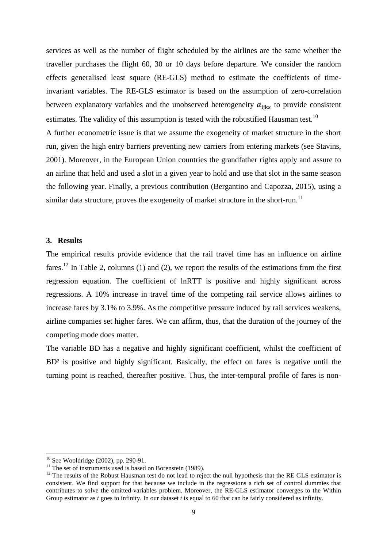services as well as the number of flight scheduled by the airlines are the same whether the traveller purchases the flight 60, 30 or 10 days before departure. We consider the random effects generalised least square (RE-GLS) method to estimate the coefficients of timeinvariant variables. The RE-GLS estimator is based on the assumption of zero-correlation between explanatory variables and the unobserved heterogeneity  $\alpha_{\text{iiks}}$  to provide consistent estimates. The validity of this assumption is tested with the robustified Hausman test.<sup>10</sup>

A further econometric issue is that we assume the exogeneity of market structure in the short run, given the high entry barriers preventing new carriers from entering markets (see Stavins, 2001). Moreover, in the European Union countries the grandfather rights apply and assure to an airline that held and used a slot in a given year to hold and use that slot in the same season the following year. Finally, a previous contribution (Bergantino and Capozza, 2015), using a similar data structure, proves the exogeneity of market structure in the short-run.<sup>11</sup>

# **3. Results**

The empirical results provide evidence that the rail travel time has an influence on airline fares.<sup>12</sup> In Table 2, columns (1) and (2), we report the results of the estimations from the first regression equation. The coefficient of lnRTT is positive and highly significant across regressions. A 10% increase in travel time of the competing rail service allows airlines to increase fares by 3.1% to 3.9%. As the competitive pressure induced by rail services weakens, airline companies set higher fares. We can affirm, thus, that the duration of the journey of the competing mode does matter.

The variable BD has a negative and highly significant coefficient, whilst the coefficient of BD² is positive and highly significant. Basically, the effect on fares is negative until the turning point is reached, thereafter positive. Thus, the inter-temporal profile of fares is non-

l

 $10$  See Wooldridge (2002), pp. 290-91.

<sup>&</sup>lt;sup>11</sup> The set of instruments used is based on Borenstein (1989).

<sup>&</sup>lt;sup>12</sup> The results of the Robust Hausman test do not lead to reject the null hypothesis that the RE GLS estimator is consistent. We find support for that because we include in the regressions a rich set of control dummies that contributes to solve the omitted-variables problem. Moreover, the RE-GLS estimator converges to the Within Group estimator as *t* goes to infinity. In our dataset *t* is equal to 60 that can be fairly considered as infinity.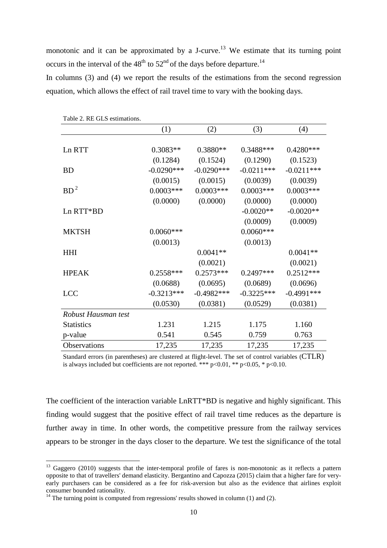monotonic and it can be approximated by a J-curve.<sup>13</sup> We estimate that its turning point occurs in the interval of the  $48<sup>th</sup>$  to  $52<sup>nd</sup>$  of the days before departure.<sup>14</sup>

In columns (3) and (4) we report the results of the estimations from the second regression equation, which allows the effect of rail travel time to vary with the booking days.

| TADIE 2. K.E. ULS ESUINATIONS. |              |              |              |              |  |  |  |
|--------------------------------|--------------|--------------|--------------|--------------|--|--|--|
|                                | (1)          | (2)          | (3)          | (4)          |  |  |  |
|                                |              |              |              |              |  |  |  |
| Ln RTT                         | $0.3083**$   | $0.3880**$   | 0.3488***    | $0.4280***$  |  |  |  |
|                                | (0.1284)     | (0.1524)     | (0.1290)     | (0.1523)     |  |  |  |
| <b>BD</b>                      | $-0.0290***$ | $-0.0290***$ | $-0.0211***$ | $-0.0211***$ |  |  |  |
|                                | (0.0015)     | (0.0015)     | (0.0039)     | (0.0039)     |  |  |  |
| $BD^2$                         | $0.0003***$  | $0.0003***$  | $0.0003***$  | $0.0003***$  |  |  |  |
|                                | (0.0000)     | (0.0000)     | (0.0000)     | (0.0000)     |  |  |  |
| Ln RTT*BD                      |              |              | $-0.0020**$  | $-0.0020**$  |  |  |  |
|                                |              |              | (0.0009)     | (0.0009)     |  |  |  |
| <b>MKTSH</b>                   | $0.0060***$  |              | $0.0060***$  |              |  |  |  |
|                                | (0.0013)     |              | (0.0013)     |              |  |  |  |
| <b>HHI</b>                     |              | $0.0041**$   |              | $0.0041**$   |  |  |  |
|                                |              | (0.0021)     |              | (0.0021)     |  |  |  |
| <b>HPEAK</b>                   | $0.2558***$  | $0.2573***$  | $0.2497***$  | $0.2512***$  |  |  |  |
|                                | (0.0688)     | (0.0695)     | (0.0689)     | (0.0696)     |  |  |  |
| <b>LCC</b>                     | $-0.3213***$ | $-0.4982***$ | $-0.3225***$ | $-0.4991***$ |  |  |  |
|                                | (0.0530)     | (0.0381)     | (0.0529)     | (0.0381)     |  |  |  |
| Robust Hausman test            |              |              |              |              |  |  |  |
| <b>Statistics</b>              | 1.231        | 1.215        | 1.175        | 1.160        |  |  |  |
| p-value                        | 0.541        | 0.545        | 0.759        | 0.763        |  |  |  |
| <b>Observations</b>            | 17,235       | 17,235       | 17,235       | 17,235       |  |  |  |

Table 2. RE GLS estimations.

Standard errors (in parentheses) are clustered at flight-level. The set of control variables (CTLR) is always included but coefficients are not reported. \*\*\*  $p<0.01$ , \*\*  $p<0.05$ , \*  $p<0.10$ .

The coefficient of the interaction variable LnRTT\*BD is negative and highly significant. This finding would suggest that the positive effect of rail travel time reduces as the departure is further away in time. In other words, the competitive pressure from the railway services appears to be stronger in the days closer to the departure. We test the significance of the total

l

<sup>&</sup>lt;sup>13</sup> Gaggero (2010) suggests that the inter-temporal profile of fares is non-monotonic as it reflects a pattern opposite to that of travellers' demand elasticity. Bergantino and Capozza (2015) claim that a higher fare for veryearly purchasers can be considered as a fee for risk-aversion but also as the evidence that airlines exploit consumer bounded rationality.

<sup>&</sup>lt;sup>14</sup> The turning point is computed from regressions' results showed in column (1) and (2).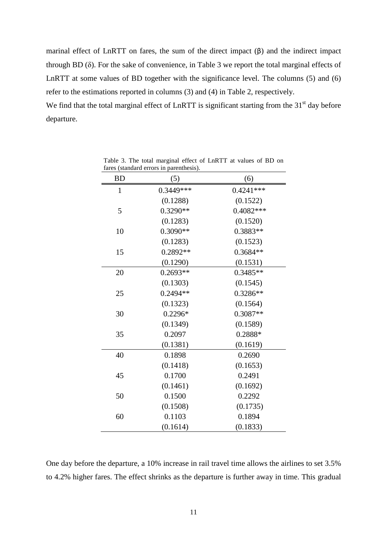marinal effect of LnRTT on fares, the sum of the direct impact (β) and the indirect impact through BD (δ). For the sake of convenience, in Table 3 we report the total marginal effects of LnRTT at some values of BD together with the significance level. The columns (5) and (6) refer to the estimations reported in columns (3) and (4) in Table 2, respectively.

We find that the total marginal effect of LnRTT is significant starting from the 31<sup>st</sup> day before departure.

| <b>BD</b>    | (5)        | (6)         |  |
|--------------|------------|-------------|--|
| $\mathbf{1}$ | 0.3449***  | $0.4241***$ |  |
|              | (0.1288)   | (0.1522)    |  |
| 5            | 0.3290**   | 0.4082 ***  |  |
|              | (0.1283)   | (0.1520)    |  |
| 10           | 0.3090**   | 0.3883**    |  |
|              | (0.1283)   | (0.1523)    |  |
| 15           | 0.2892**   | 0.3684**    |  |
|              | (0.1290)   | (0.1531)    |  |
| 20           | $0.2693**$ | $0.3485**$  |  |
|              | (0.1303)   | (0.1545)    |  |
| 25           | $0.2494**$ | $0.3286**$  |  |
|              | (0.1323)   | (0.1564)    |  |
| 30           | 0.2296*    | 0.3087**    |  |
|              | (0.1349)   | (0.1589)    |  |
| 35           | 0.2097     | 0.2888*     |  |
|              | (0.1381)   | (0.1619)    |  |
| 40           | 0.1898     | 0.2690      |  |
|              | (0.1418)   | (0.1653)    |  |
| 45           | 0.1700     | 0.2491      |  |
|              | (0.1461)   | (0.1692)    |  |
| 50           | 0.1500     | 0.2292      |  |
|              | (0.1508)   | (0.1735)    |  |
| 60           | 0.1103     | 0.1894      |  |
|              | (0.1614)   | (0.1833)    |  |

Table 3. The total marginal effect of LnRTT at values of BD on fares (standard errors in parenthesis).

One day before the departure, a 10% increase in rail travel time allows the airlines to set 3.5% to 4.2% higher fares. The effect shrinks as the departure is further away in time. This gradual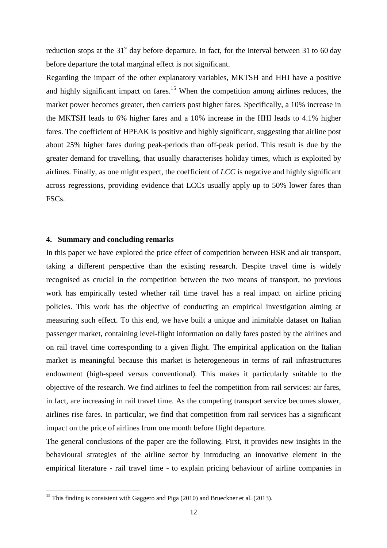reduction stops at the  $31<sup>st</sup>$  day before departure. In fact, for the interval between 31 to 60 day before departure the total marginal effect is not significant.

Regarding the impact of the other explanatory variables, MKTSH and HHI have a positive and highly significant impact on fares.<sup>15</sup> When the competition among airlines reduces, the market power becomes greater, then carriers post higher fares. Specifically, a 10% increase in the MKTSH leads to 6% higher fares and a 10% increase in the HHI leads to 4.1% higher fares. The coefficient of HPEAK is positive and highly significant, suggesting that airline post about 25% higher fares during peak-periods than off-peak period. This result is due by the greater demand for travelling, that usually characterises holiday times, which is exploited by airlines. Finally, as one might expect, the coefficient of *LCC* is negative and highly significant across regressions, providing evidence that LCCs usually apply up to 50% lower fares than FSCs.

#### **4. Summary and concluding remarks**

 $\overline{a}$ 

In this paper we have explored the price effect of competition between HSR and air transport, taking a different perspective than the existing research. Despite travel time is widely recognised as crucial in the competition between the two means of transport, no previous work has empirically tested whether rail time travel has a real impact on airline pricing policies. This work has the objective of conducting an empirical investigation aiming at measuring such effect. To this end, we have built a unique and inimitable dataset on Italian passenger market, containing level-flight information on daily fares posted by the airlines and on rail travel time corresponding to a given flight. The empirical application on the Italian market is meaningful because this market is heterogeneous in terms of rail infrastructures endowment (high-speed versus conventional). This makes it particularly suitable to the objective of the research. We find airlines to feel the competition from rail services: air fares, in fact, are increasing in rail travel time. As the competing transport service becomes slower, airlines rise fares. In particular, we find that competition from rail services has a significant impact on the price of airlines from one month before flight departure.

The general conclusions of the paper are the following. First, it provides new insights in the behavioural strategies of the airline sector by introducing an innovative element in the empirical literature - rail travel time - to explain pricing behaviour of airline companies in

<sup>&</sup>lt;sup>15</sup> This finding is consistent with Gaggero and Piga  $(2010)$  and Brueckner et al.  $(2013)$ .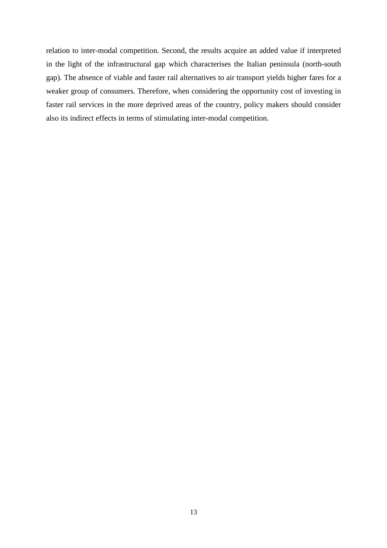relation to inter-modal competition. Second, the results acquire an added value if interpreted in the light of the infrastructural gap which characterises the Italian peninsula (north-south gap). The absence of viable and faster rail alternatives to air transport yields higher fares for a weaker group of consumers. Therefore, when considering the opportunity cost of investing in faster rail services in the more deprived areas of the country, policy makers should consider also its indirect effects in terms of stimulating inter-modal competition.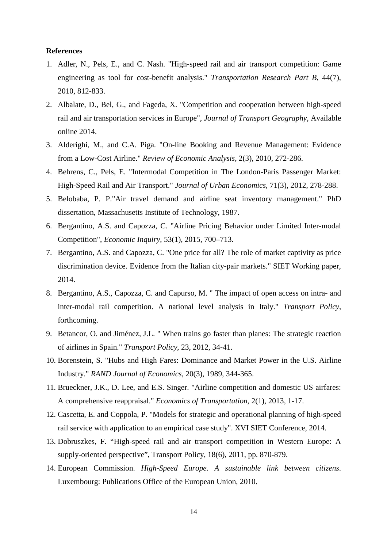#### **References**

- 1. Adler, N., Pels, E., and C. Nash. "High-speed rail and air transport competition: Game engineering as tool for cost-benefit analysis." *Transportation Research Part B*, 44(7), 2010, 812-833.
- 2. Albalate, D., Bel, G., and Fageda, X. "Competition and cooperation between high-speed rail and air transportation services in Europe", *Journal of Transport Geography*, Available online 2014.
- 3. Alderighi, M., and C.A. Piga. "On-line Booking and Revenue Management: Evidence from a Low-Cost Airline." *Review of Economic Analysis*, 2(3), 2010, 272-286.
- 4. Behrens, C., Pels, E. "Intermodal Competition in The London-Paris Passenger Market: High-Speed Rail and Air Transport." *Journal of Urban Economics*, 71(3), 2012, 278-288.
- 5. Belobaba, P. P."Air travel demand and airline seat inventory management." PhD dissertation, Massachusetts Institute of Technology, 1987.
- 6. Bergantino, A.S. and Capozza, C. "Airline Pricing Behavior under Limited Inter-modal Competition", *Economic Inquiry*, 53(1), 2015, 700–713.
- 7. Bergantino, A.S. and Capozza, C. "One price for all? The role of market captivity as price discrimination device. Evidence from the Italian city-pair markets." SIET Working paper, 2014.
- 8. Bergantino, A.S., Capozza, C. and Capurso, M. " The impact of open access on intra- and inter-modal rail competition. A national level analysis in Italy." *Transport Policy*, forthcoming.
- 9. Betancor, O. and Jiménez, J.L. " When trains go faster than planes: The strategic reaction of airlines in Spain." *Transport Policy*, 23, 2012, 34-41.
- 10. Borenstein, S. "Hubs and High Fares: Dominance and Market Power in the U.S. Airline Industry." *RAND Journal of Economics*, 20(3), 1989, 344-365.
- 11. Brueckner, J.K., D. Lee, and E.S. Singer. "Airline competition and domestic US airfares: A comprehensive reappraisal." *Economics of Transportation*, 2(1), 2013, 1-17.
- 12. Cascetta, E. and Coppola, P. "Models for strategic and operational planning of high-speed rail service with application to an empirical case study". XVI SIET Conference, 2014.
- 13. Dobruszkes, F. "High-speed rail and air transport competition in Western Europe: A supply-oriented perspective", Transport Policy, 18(6), 2011, pp. 870-879.
- 14. European Commission. *High-Speed Europe. A sustainable link between citizens*. Luxembourg: Publications Office of the European Union, 2010.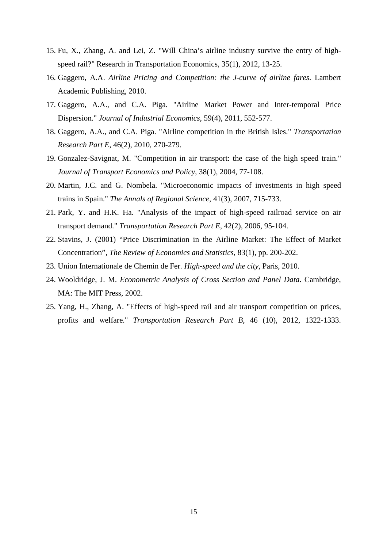- 15. Fu, X., Zhang, A. and Lei, Z. "Will China's airline industry survive the entry of highspeed rail?" Research in Transportation Economics, 35(1), 2012, 13-25.
- 16. Gaggero, A.A. *Airline Pricing and Competition: the J-curve of airline fares*. Lambert Academic Publishing, 2010.
- 17. Gaggero, A.A., and C.A. Piga. "Airline Market Power and Inter-temporal Price Dispersion." *Journal of Industrial Economics*, 59(4), 2011, 552-577.
- 18. Gaggero, A.A., and C.A. Piga. "Airline competition in the British Isles." *Transportation Research Part E*, 46(2), 2010, 270-279.
- 19. Gonzalez-Savignat, M. "Competition in air transport: the case of the high speed train." *Journal of Transport Economics and Policy*, 38(1), 2004, 77-108.
- 20. Martin, J.C. and G. Nombela. "Microeconomic impacts of investments in high speed trains in Spain." *The Annals of Regional Science*, 41(3), 2007, 715-733.
- 21. Park, Y. and H.K. Ha. "Analysis of the impact of high-speed railroad service on air transport demand." *Transportation Research Part E*, 42(2), 2006, 95-104.
- 22. Stavins, J. (2001) "Price Discrimination in the Airline Market: The Effect of Market Concentration", *The Review of Economics and Statistics*, 83(1), pp. 200-202.
- 23. Union Internationale de Chemin de Fer. *High-speed and the city*, Paris, 2010.
- 24. Wooldridge, J. M. *Econometric Analysis of Cross Section and Panel Data*. Cambridge, MA: The MIT Press, 2002.
- 25. Yang, H., Zhang, A. "Effects of high-speed rail and air transport competition on prices, profits and welfare." *Transportation Research Part B*, 46 (10), 2012, 1322-1333.